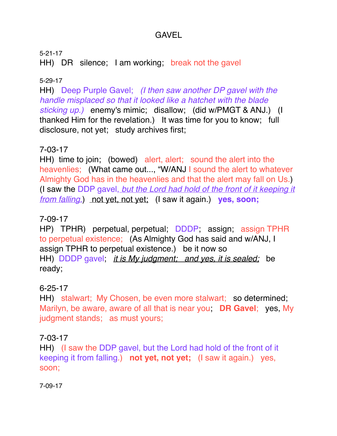# GAVEL

5-21-17 HH) DR silence; I am working; break not the gavel

### 5-29-17

HH) Deep Purple Gavel; *(I then saw another DP gavel with the handle misplaced so that it looked like a hatchet with the blade sticking up.)* enemy's mimic; disallow; (did w/PMGT & ANJ.) (I thanked Him for the revelation.) It was time for you to know; full disclosure, not yet; study archives first;

## 7-03-17

HH) time to join; (bowed) alert, alert; sound the alert into the heavenlies; (What came out..., "W/ANJ I sound the alert to whatever Almighty God has in the heavenlies and that the alert may fall on Us.) (I saw the DDP gavel, *but the Lord had hold of the front of it keeping it from falling.*) not yet, not yet; (I saw it again.) **yes, soon;**

#### 7-09-17

HP) TPHR) perpetual, perpetual; DDDP; assign; assign TPHR to perpetual existence; (As Almighty God has said and w/ANJ, I assign TPHR to perpetual existence.) be it now so HH) DDDP gavel; *it is My judgment; and yes, it is sealed;* be ready;

## 6-25-17

HH) stalwart; My Chosen, be even more stalwart; so determined; Marilyn, be aware, aware of all that is near you; **DR Gavel**; yes, My judgment stands; as must yours;

#### 7-03-17

HH) (I saw the DDP gavel, but the Lord had hold of the front of it keeping it from falling.) **not yet, not yet;** (I saw it again.) yes, soon;

7-09-17